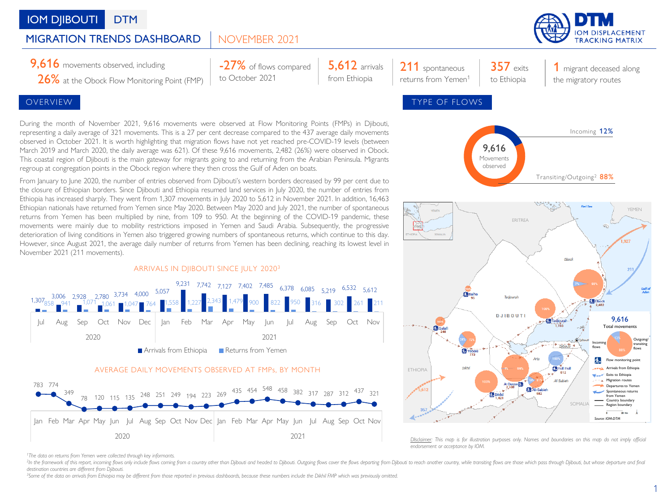# **IOM DIIBOUTI** DTM

### NOVEMBER 2021 MIGRATION TRENDS DASHBOARD

26% at the Obock Flow Monitoring Point (FMP)

During the month of November 2021, 9,616 movements were observed at Flow Monitoring Points (FMPs) in Djibouti, representing a daily average of 321 movements. This is a 27 per cent decrease compared to the 437 average daily movements observed in October 2021. It is worth highlighting that migration flows have not yet reached pre-COVID-19 levels (between March 2019 and March 2020, the daily average was 621). Of these 9,616 movements, 2,482 (26%) were observed in Obock. This coastal region of Djibouti is the main gateway for migrants going to and returning from the Arabian Peninsula. Migrants regroup at congregation points in the Obock region where they then cross the Gulf of Aden on boats.

-27% of flows compared

to October 2021

From January to June 2020, the number of entries observed from Djibouti's western borders decreased by 99 per cent due to the closure of Ethiopian borders. Since Djibouti and Ethiopia resumed land services in July 2020, the number of entries from Ethiopia has increased sharply. They went from 1,307 movements in July 2020 to 5,612 in November 2021. In addition, 16,463 Ethiopian nationals have returned from Yemen since May 2020. Between May 2020 and July 2021, the number of spontaneous returns from Yemen has been multiplied by nine, from 109 to 950. At the beginning of the COVID-19 pandemic, these movements were mainly due to mobility restrictions imposed in Yemen and Saudi Arabia. Subsequently, the progressive deterioration of living conditions in Yemen also triggered growing numbers of spontaneous returns, which continue to this day. However, since August 2021, the average daily number of returns from Yemen has been declining, reaching its lowest level in November 2021 (211 movements).



## AVERAGE DAILY MOVEMENTS OBSERVED AT FMPs, BY MONTH





**IOM DISPLACEMENT** 



*<sup>1</sup>The data on returns from Yemen were collected through key informants.*

<sup>2</sup>In the framework of this report, incoming flows only include flows coming from a country other than Djibouti and headed to Djibouti. Outgoing flows cover the flows departing from Djibouti our each another country, while *destination countries are different from Djibouti.*

**5.612** arrivals from Ethiopia

<sup>3</sup>Some of the data on arrivals from Ethiopia may be different from those reported in previous dashboards, because these numbers include the Dikhil FMP which was previously omitted.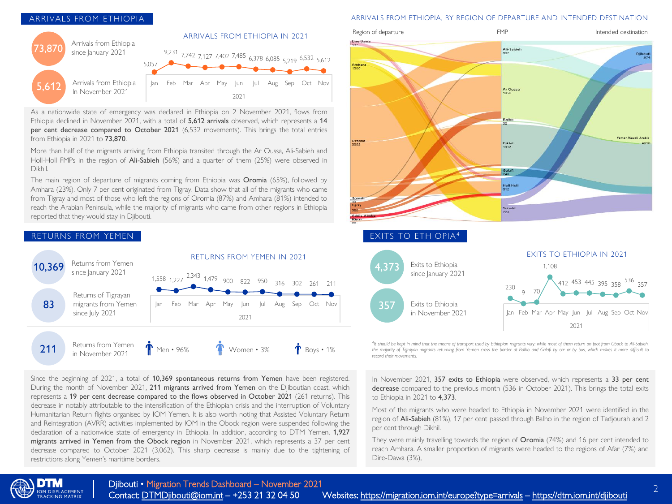## ARRIVALS FROM ETHIOPIA



As a nationwide state of emergency was declared in Ethiopia on 2 November 2021, flows from Ethiopia declined in November 2021, with a total of 5,612 arrivals observed, which represents a 14 per cent decrease compared to October 2021 (6,532 movements). This brings the total entries from Ethiopia in 2021 to 73,870.

More than half of the migrants arriving from Ethiopia transited through the Ar Oussa, Ali-Sabieh and Holl-Holl FMPs in the region of Ali-Sabieh (56%) and a quarter of them (25%) were observed in Dikhil.

The main region of departure of migrants coming from Ethiopia was Oromia (65%), followed by Amhara (23%). Only 7 per cent originated from Tigray. Data show that all of the migrants who came from Tigray and most of those who left the regions of Oromia (87%) and Amhara (81%) intended to reach the Arabian Peninsula, while the majority of migrants who came from other regions in Ethiopia reported that they would stay in Djibouti.



Since the beginning of 2021, a total of 10,369 spontaneous returns from Yemen have been registered. During the month of November 2021, 211 migrants arrived from Yemen on the Djiboutian coast, which represents a 19 per cent decrease compared to the flows observed in October 2021 (261 returns). This decrease in notably attributable to the intensification of the Ethiopian crisis and the interruption of Voluntary Humanitarian Return flights organised by IOM Yemen. It is also worth noting that Assisted Voluntary Return and Reintegration (AVRR) activities implemented by IOM in the Obock region were suspended following the declaration of a nationwide state of emergency in Ethiopia. In addition, according to DTM Yemen, 1,927 migrants arrived in Yemen from the Obock region in November 2021, which represents a 37 per cent decrease compared to October 2021 (3,062). This sharp decrease is mainly due to the tightening of restrictions along Yemen's maritime borders.

### ARRIVALS FROM ETHIOPIA, BY REGION OF DEPARTURE AND INTENDED DESTINATION



<sup>4</sup>It should be kept in mind that the means of transport used by Ethiopian migrants vary: while most of them return on foot from Obock to Ali-Sabieh, the majority of Tigrayan migrants returning from Yemen cross the border at Balho and Galafi by car or by bus, which makes it more difficult to *record their movements.*

In November 2021, 357 exits to Ethiopia were observed, which represents a 33 per cent decrease compared to the previous month (536 in October 2021). This brings the total exits to Ethiopia in 2021 to 4,373.

Most of the migrants who were headed to Ethiopia in November 2021 were identified in the region of Ali-Sabieh (81%), 17 per cent passed through Balho in the region of Tadjourah and 2 per cent through Dikhil.

They were mainly travelling towards the region of Oromia (74%) and 16 per cent intended to reach Amhara. A smaller proportion of migrants were headed to the regions of Afar (7%) and Dire-Dawa (3%),

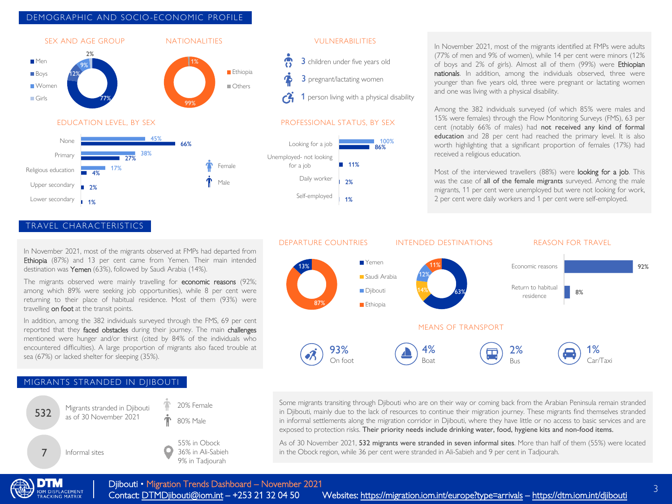## DEMOGRAPHIC AND SOCIO-ECONOMIC PROFILE



TRAVEL CHARACTERISTICS

Lower secondary

1%

In November 2021, most of the migrants observed at FMPs had departed from Ethiopia (87%) and 13 per cent came from Yemen. Their main intended destination was Yemen (63%), followed by Saudi Arabia (14%).

The migrants observed were mainly travelling for economic reasons (92%; among which 89% were seeking job opportunities), while 8 per cent were returning to their place of habitual residence. Most of them (93%) were travelling on foot at the transit points.

In addition, among the 382 individuals surveyed through the FMS, 69 per cent reported that they faced obstacles during their journey. The main challenges mentioned were hunger and/or thirst (cited by 84% of the individuals who encountered difficulties). A large proportion of migrants also faced trouble at sea (67%) or lacked shelter for sleeping (35%).

## MIGRANTS STRANDED IN DJIBOUTI





1 person living with a physical disability

100%



In November 2021, most of the migrants identified at FMPs were adults (77% of men and 9% of women), while 14 per cent were minors (12% of boys and 2% of girls). Almost all of them (99%) were Ethiopian nationals. In addition, among the individuals observed, three were younger than five years old, three were pregnant or lactating women and one was living with a physical disability.

Among the 382 individuals surveyed (of which 85% were males and 15% were females) through the Flow Monitoring Surveys (FMS), 63 per cent (notably 66% of males) had not received any kind of formal education and 28 per cent had reached the primary level. It is also worth highlighting that a significant proportion of females (17%) had received a religious education.

Most of the interviewed travellers (88%) were **looking for a job**. This was the case of all of the female migrants surveyed. Among the male migrants, 11 per cent were unemployed but were not looking for work, 2 per cent were daily workers and 1 per cent were self-employed.



Some migrants transiting through Djibouti who are on their way or coming back from the Arabian Peninsula remain stranded in Djibouti, mainly due to the lack of resources to continue their migration journey. These migrants find themselves stranded in informal settlements along the migration corridor in Djibouti, where they have little or no access to basic services and are exposed to protection risks. Their priority needs include drinking water, food, hygiene kits and non-food items.

As of 30 November 2021, 532 migrants were stranded in seven informal sites. More than half of them (55%) were located in the Obock region, while 36 per cent were stranded in Ali-Sabieh and 9 per cent in Tadjourah.